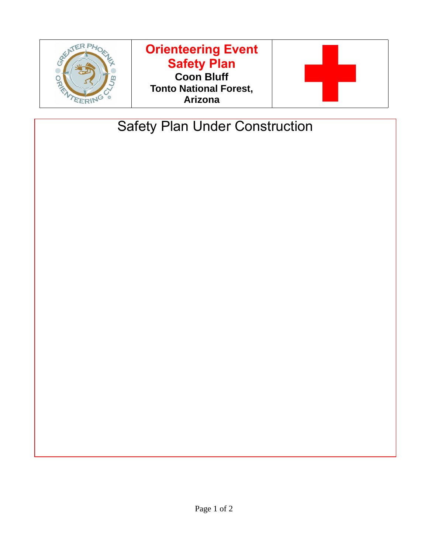

## **Orienteering Event Safety Plan Coon Bluff Tonto National Forest, Arizona**



# Safety Plan Under Construction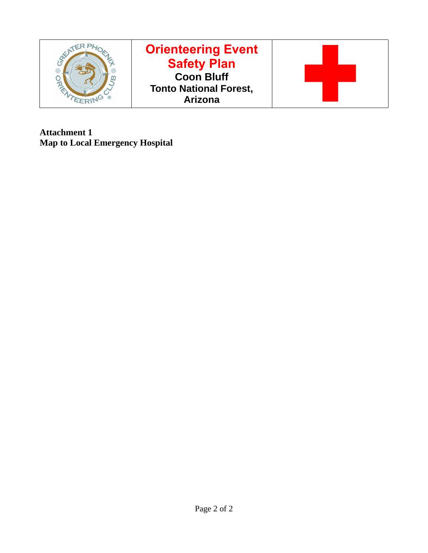

**Attachment 1 Map to Local Emergency Hospital**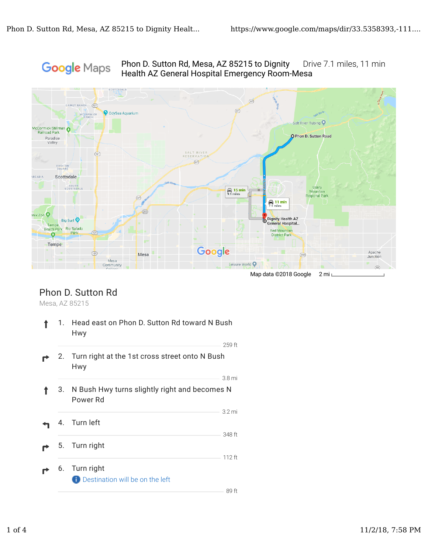# Google Maps

Phon D. Sutton Rd, Mesa, AZ 85215 to Dignity Drive 7.1 miles, 11 min Health AZ General Hospital Emergency Room-Mesa



### Phon D. Sutton Rd

Mesa, AZ 85215

|    | 1. Head east on Phon D. Sutton Rd toward N Bush<br>Hwy              |                  |
|----|---------------------------------------------------------------------|------------------|
|    | 2. Turn right at the 1st cross street onto N Bush<br>Hwy            | 259 ft           |
| 3. | 3.8 mi<br>N Bush Hwy turns slightly right and becomes N<br>Power Rd |                  |
|    | 4. Turn left                                                        | 3.2 mi<br>348 ft |
|    | 5. Turn right                                                       | $112$ ft         |
|    | 6. Turn right<br><b>Destination will be on the left</b>             | 89 ft            |